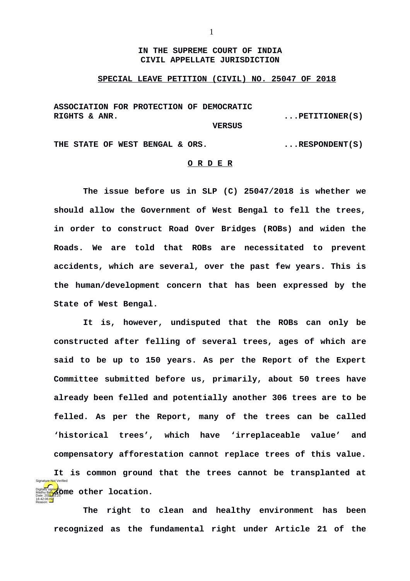## **IN THE SUPREME COURT OF INDIA CIVIL APPELLATE JURISDICTION**

## **SPECIAL LEAVE PETITION (CIVIL) NO. 25047 OF 2018**

**ASSOCIATION FOR PROTECTION OF DEMOCRATIC**  RIGHTS & ANR. **RIGHTS & ANR.**  $\cdot \cdot \cdot$  **PETITIONER(S)** 

 **VERSUS**

THE STATE OF WEST BENGAL & ORS.  $\blacksquare$ ...RESPONDENT(S)

## **O R D E R**

**The issue before us in SLP (C) 25047/2018 is whether we should allow the Government of West Bengal to fell the trees, in order to construct Road Over Bridges (ROBs) and widen the Roads. We are told that ROBs are necessitated to prevent accidents, which are several, over the past few years. This is the human/development concern that has been expressed by the State of West Bengal.**

**It is, however, undisputed that the ROBs can only be constructed after felling of several trees, ages of which are said to be up to 150 years. As per the Report of the Expert Committee submitted before us, primarily, about 50 trees have already been felled and potentially another 306 trees are to be felled. As per the Report, many of the trees can be called 'historical trees', which have 'irreplaceable value' and compensatory afforestation cannot replace trees of this value. It is common ground that the trees cannot be transplanted at Digitally signed by OTHER location.** Madhu Bala Date: 2024-03.25 Signature Not Verified

**The right to clean and healthy environment has been recognized as the fundamental right under Article 21 of the**

16:42:06 IST Reason: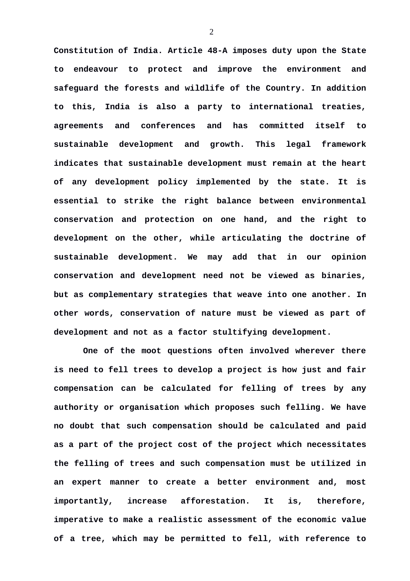**Constitution of India. Article 48-A imposes duty upon the State to endeavour to protect and improve the environment and safeguard the forests and wildlife of the Country. In addition to this, India is also a party to international treaties, agreements and conferences and has committed itself to sustainable development and growth. This legal framework indicates that sustainable development must remain at the heart of any development policy implemented by the state. It is essential to strike the right balance between environmental conservation and protection on one hand, and the right to development on the other, while articulating the doctrine of sustainable development. We may add that in our opinion conservation and development need not be viewed as binaries, but as complementary strategies that weave into one another. In other words, conservation of nature must be viewed as part of development and not as a factor stultifying development.**

**One of the moot questions often involved wherever there is need to fell trees to develop a project is how just and fair compensation can be calculated for felling of trees by any authority or organisation which proposes such felling. We have no doubt that such compensation should be calculated and paid as a part of the project cost of the project which necessitates the felling of trees and such compensation must be utilized in an expert manner to create a better environment and, most importantly, increase afforestation. It is, therefore, imperative to make a realistic assessment of the economic value of a tree, which may be permitted to fell, with reference to**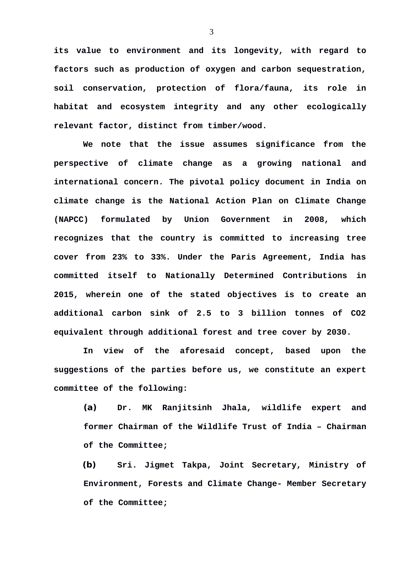**its value to environment and its longevity, with regard to factors such as production of oxygen and carbon sequestration, soil conservation, protection of flora/fauna, its role in habitat and ecosystem integrity and any other ecologically relevant factor, distinct from timber/wood.**

**We note that the issue assumes significance from the perspective of climate change as a growing national and international concern. The pivotal policy document in India on climate change is the National Action Plan on Climate Change (NAPCC) formulated by Union Government in 2008, which recognizes that the country is committed to increasing tree cover from 23% to 33%. Under the Paris Agreement, India has committed itself to Nationally Determined Contributions in 2015, wherein one of the stated objectives is to create an additional carbon sink of 2.5 to 3 billion tonnes of CO2 equivalent through additional forest and tree cover by 2030.**

**In view of the aforesaid concept, based upon the suggestions of the parties before us, we constitute an expert committee of the following:** 

**(a) Dr. MK Ranjitsinh Jhala, wildlife expert and former Chairman of the Wildlife Trust of India – Chairman of the Committee;** 

**(b) Sri. Jigmet Takpa, Joint Secretary, Ministry of Environment, Forests and Climate Change- Member Secretary of the Committee;**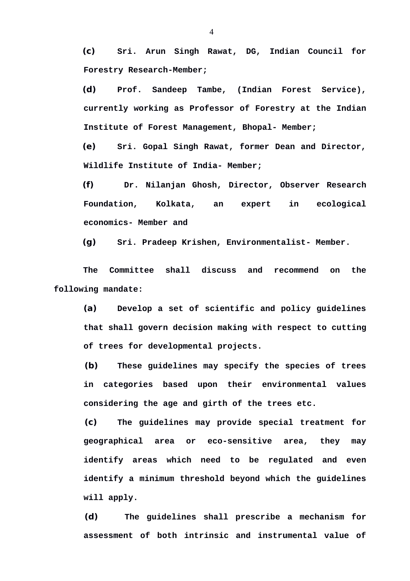**(c) Sri. Arun Singh Rawat, DG, Indian Council for Forestry Research-Member;**

**(d) Prof. Sandeep Tambe, (Indian Forest Service), currently working as Professor of Forestry at the Indian Institute of Forest Management, Bhopal- Member;** 

**(e) Sri. Gopal Singh Rawat, former Dean and Director, Wildlife Institute of India- Member;**

**(f) Dr. Nilanjan Ghosh, Director, Observer Research Foundation, Kolkata, an expert in ecological economics- Member and**

**(g) Sri. Pradeep Krishen, Environmentalist- Member.**

**The Committee shall discuss and recommend on the following mandate:**

**(a) Develop a set of scientific and policy guidelines that shall govern decision making with respect to cutting of trees for developmental projects.**

**(b) These guidelines may specify the species of trees in categories based upon their environmental values considering the age and girth of the trees etc.**

**(c) The guidelines may provide special treatment for geographical area or eco-sensitive area, they may identify areas which need to be regulated and even identify a minimum threshold beyond which the guidelines will apply.**

**(d) The guidelines shall prescribe a mechanism for assessment of both intrinsic and instrumental value of**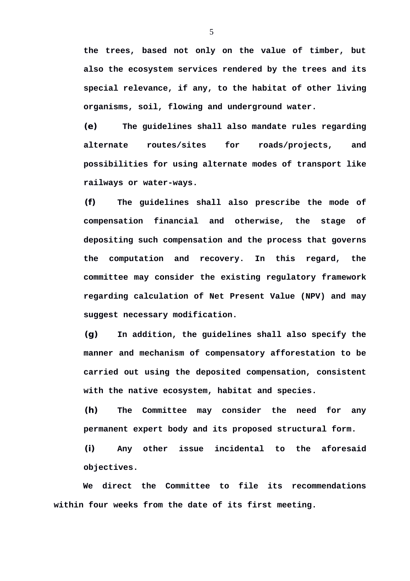**the trees, based not only on the value of timber, but also the ecosystem services rendered by the trees and its special relevance, if any, to the habitat of other living organisms, soil, flowing and underground water.**

**(e) The guidelines shall also mandate rules regarding alternate routes/sites for roads/projects, and possibilities for using alternate modes of transport like railways or water-ways.**

**(f) The guidelines shall also prescribe the mode of compensation financial and otherwise, the stage of depositing such compensation and the process that governs the computation and recovery. In this regard, the committee may consider the existing regulatory framework regarding calculation of Net Present Value (NPV) and may suggest necessary modification.**

**(g) In addition, the guidelines shall also specify the manner and mechanism of compensatory afforestation to be carried out using the deposited compensation, consistent with the native ecosystem, habitat and species.**

**(h) The Committee may consider the need for any permanent expert body and its proposed structural form.**

**(i) Any other issue incidental to the aforesaid objectives.**

**We direct the Committee to file its recommendations within four weeks from the date of its first meeting.**